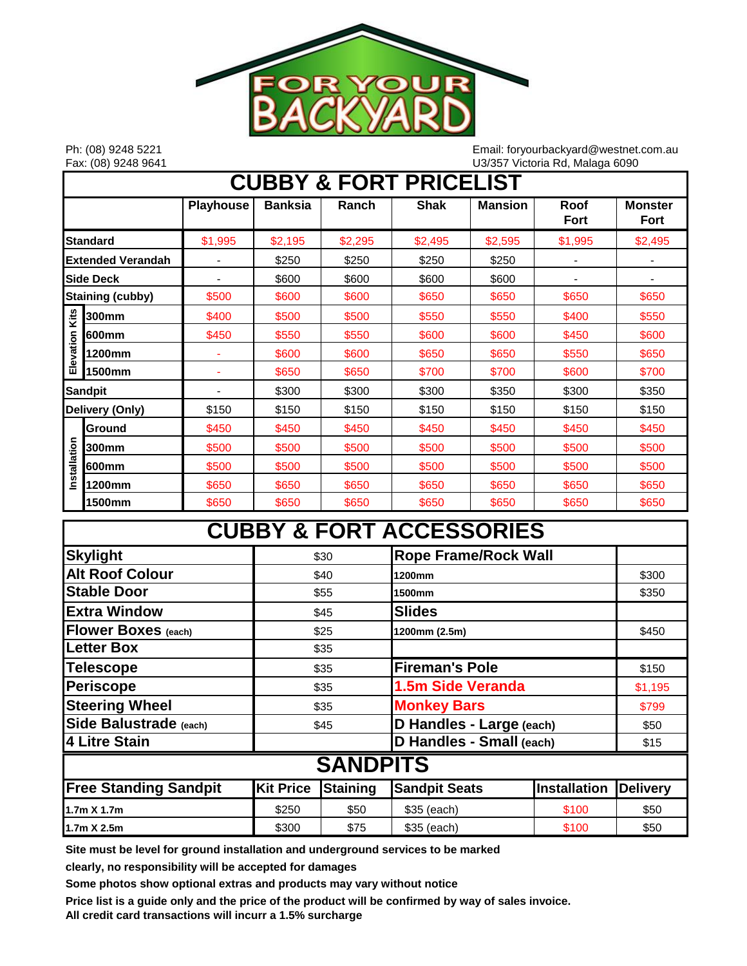

Ph: (08) 9248 5221 Email: foryourbackyard@westnet.com.au Fax: (08) 9248 9641 U3/357 Victoria Rd, Malaga 6090

| <b>CUBBY &amp; FORT PRICELIST</b> |                |                          |                |         |             |                |              |                               |
|-----------------------------------|----------------|--------------------------|----------------|---------|-------------|----------------|--------------|-------------------------------|
|                                   |                | <b>Playhouse</b>         | <b>Banksia</b> | Ranch   | <b>Shak</b> | <b>Mansion</b> | Roof<br>Fort | <b>Monster</b><br><b>Fort</b> |
| <b>Standard</b>                   |                | \$1,995                  | \$2,195        | \$2,295 | \$2,495     | \$2,595        | \$1,995      | \$2,495                       |
| <b>Extended Verandah</b>          |                |                          | \$250          | \$250   | \$250       | \$250          |              |                               |
| <b>Side Deck</b>                  |                |                          | \$600          | \$600   | \$600       | \$600          |              |                               |
| <b>Staining (cubby)</b>           |                | \$500                    | \$600          | \$600   | \$650       | \$650          | \$650        | \$650                         |
| Kits                              | 300mm          | \$400                    | \$500          | \$500   | \$550       | \$550          | \$400        | \$550                         |
|                                   | 600mm          | \$450                    | \$550          | \$550   | \$600       | \$600          | \$450        | \$600                         |
| Elevation                         | 1200mm         | $\blacksquare$           | \$600          | \$600   | \$650       | \$650          | \$550        | \$650                         |
|                                   | 1500mm         | ٠                        | \$650          | \$650   | \$700       | \$700          | \$600        | \$700                         |
|                                   | <b>Sandpit</b> | $\overline{\phantom{0}}$ | \$300          | \$300   | \$300       | \$350          | \$300        | \$350                         |
| Delivery (Only)                   |                | \$150                    | \$150          | \$150   | \$150       | \$150          | \$150        | \$150                         |
|                                   | Ground         | \$450                    | \$450          | \$450   | \$450       | \$450          | \$450        | \$450                         |
| Installation                      | 300mm          | \$500                    | \$500          | \$500   | \$500       | \$500          | \$500        | \$500                         |
|                                   | 600mm          | \$500                    | \$500          | \$500   | \$500       | \$500          | \$500        | \$500                         |
|                                   | 1200mm         | \$650                    | \$650          | \$650   | \$650       | \$650          | \$650        | \$650                         |
|                                   | 1500mm         | \$650                    | \$650          | \$650   | \$650       | \$650          | \$650        | \$650                         |

# **CUBBY & FORT ACCESSORIES**

| <b>Skylight</b>              | <b>Rope Frame/Rock Wall</b><br>\$30 |                 |                          |                     |                 |  |  |  |  |
|------------------------------|-------------------------------------|-----------------|--------------------------|---------------------|-----------------|--|--|--|--|
| <b>Alt Roof Colour</b>       | \$40                                |                 | 1200mm                   | \$300               |                 |  |  |  |  |
| <b>Stable Door</b>           |                                     | \$55            | 1500mm                   | \$350               |                 |  |  |  |  |
| <b>Extra Window</b>          |                                     | \$45            | <b>Slides</b>            |                     |                 |  |  |  |  |
| <b>Flower Boxes (each)</b>   |                                     | \$25            | 1200mm (2.5m)            | \$450               |                 |  |  |  |  |
| <b>Letter Box</b>            |                                     | \$35            |                          |                     |                 |  |  |  |  |
| Telescope                    | \$35                                |                 | <b>Fireman's Pole</b>    | \$150               |                 |  |  |  |  |
| <b>Periscope</b>             | \$35                                |                 | 1.5m Side Veranda        | \$1,195             |                 |  |  |  |  |
| <b>Steering Wheel</b>        | \$35                                |                 | <b>Monkey Bars</b>       | \$799               |                 |  |  |  |  |
| Side Balustrade (each)       | \$45                                |                 | D Handles - Large (each) |                     | \$50            |  |  |  |  |
| 4 Litre Stain                |                                     |                 | D Handles - Small (each) |                     | \$15            |  |  |  |  |
| <b>SANDPITS</b>              |                                     |                 |                          |                     |                 |  |  |  |  |
| <b>Free Standing Sandpit</b> | <b>Kit Price</b>                    | <b>Staining</b> | <b>Sandpit Seats</b>     | <b>Installation</b> | <b>Delivery</b> |  |  |  |  |
| 1.7m X 1.7m                  | \$250                               | \$50            | \$35 (each)              | \$100               | \$50            |  |  |  |  |
| $1.7m \times 2.5m$           | \$300                               | \$75            | \$35 (each)              | \$100               | \$50            |  |  |  |  |

**Site must be level for ground installation and underground services to be marked** 

**clearly, no responsibility will be accepted for damages**

**Some photos show optional extras and products may vary without notice**

**Price list is a guide only and the price of the product will be confirmed by way of sales invoice.**

**All credit card transactions will incurr a 1.5% surcharge**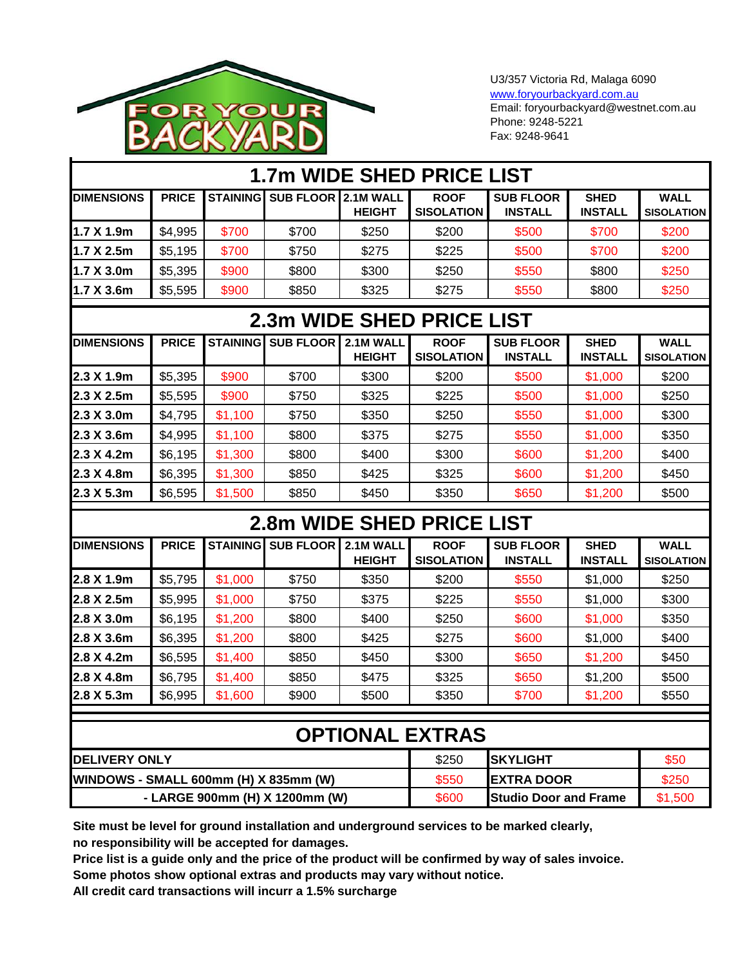

U3/357 Victoria Rd, Malaga 6090 [www.foryourbackyard.com.au](http://www.foryourbackyard.com.au/) Email: foryourbackyard@westnet.com.au Phone: 9248-5221 Fax: 9248-9641

|                                       |              |                 |                                |                            | <b>1.7m WIDE SHED PRICE LIST</b> |                                    |                               |                                  |
|---------------------------------------|--------------|-----------------|--------------------------------|----------------------------|----------------------------------|------------------------------------|-------------------------------|----------------------------------|
| <b>DIMENSIONS</b>                     | <b>PRICE</b> |                 | STAINING SUB FLOOR 2.1M WALL   | <b>HEIGHT</b>              | <b>ROOF</b><br><b>SISOLATION</b> | <b>SUB FLOOR</b><br><b>INSTALL</b> | <b>SHED</b><br><b>INSTALL</b> | <b>WALL</b><br><b>SISOLATION</b> |
| 1.7 X 1.9m                            | \$4,995      | \$700           | \$700                          | \$250                      | \$200                            | \$500                              | \$700                         | \$200                            |
| 1.7 X 2.5m                            | \$5,195      | \$700           | \$750                          | \$275                      | \$225                            | \$500                              | \$700                         | \$200                            |
| 1.7 X 3.0m                            | \$5,395      | \$900           | \$800                          | \$300                      | \$250                            | \$550                              | \$800                         | \$250                            |
| 1.7 X 3.6m                            | \$5,595      | \$900           | \$850                          | \$325                      | \$275                            | \$550                              | \$800                         | \$250                            |
|                                       |              |                 |                                |                            | 2.3m WIDE SHED PRICE LIST        |                                    |                               |                                  |
| <b>DIMENSIONS</b>                     | <b>PRICE</b> |                 | <b>STAINING SUB FLOOR</b>      | 2.1M WALL<br><b>HEIGHT</b> | <b>ROOF</b><br><b>SISOLATION</b> | <b>SUB FLOOR</b><br><b>INSTALL</b> | <b>SHED</b><br><b>INSTALL</b> | <b>WALL</b><br><b>SISOLATION</b> |
| 2.3 X 1.9m                            | \$5,395      | \$900           | \$700                          | \$300                      | \$200                            | \$500                              | \$1,000                       | \$200                            |
| 2.3 X 2.5m                            | \$5,595      | \$900           | \$750                          | \$325                      | \$225                            | \$500                              | \$1,000                       | \$250                            |
| 2.3 X 3.0m                            | \$4,795      | \$1,100         | \$750                          | \$350                      | \$250                            | \$550                              | \$1,000                       | \$300                            |
| 2.3 X 3.6m                            | \$4,995      | \$1,100         | \$800                          | \$375                      | \$275                            | \$550                              | \$1,000                       | \$350                            |
| 2.3 X 4.2m                            | \$6,195      | \$1,300         | \$800                          | \$400                      | \$300                            | \$600                              | \$1,200                       | \$400                            |
| 2.3 X 4.8m                            | \$6,395      | \$1,300         | \$850                          | \$425                      | \$325                            | \$600                              | \$1,200                       | \$450                            |
| 2.3 X 5.3m                            | \$6,595      | \$1,500         | \$850                          | \$450                      | \$350                            | \$650                              | \$1,200                       | \$500                            |
|                                       |              |                 |                                |                            | 2.8m WIDE SHED PRICE LIST        |                                    |                               |                                  |
| <b>DIMENSIONS</b>                     | <b>PRICE</b> | <b>STAINING</b> | <b>SUB FLOOR</b>               | 2.1M WALL<br><b>HEIGHT</b> | <b>ROOF</b><br><b>SISOLATION</b> | <b>SUB FLOOR</b><br><b>INSTALL</b> | <b>SHED</b><br><b>INSTALL</b> | <b>WALL</b><br><b>SISOLATION</b> |
| 2.8 X 1.9m                            | \$5,795      | \$1,000         | \$750                          | \$350                      | \$200                            | \$550                              | \$1,000                       | \$250                            |
| 2.8 X 2.5m                            | \$5,995      | \$1,000         | \$750                          | \$375                      | \$225                            | \$550                              | \$1,000                       | \$300                            |
| 2.8 X 3.0m                            | \$6,195      | \$1,200         | \$800                          | \$400                      | \$250                            | \$600                              | \$1,000                       | \$350                            |
| 2.8 X 3.6m                            | \$6,395      | \$1,200         | \$800                          | \$425                      | \$275                            | \$600                              | \$1,000                       | \$400                            |
| 2.8 X 4.2m                            | \$6,595      | \$1,400         | \$850                          | \$450                      | \$300                            | \$650                              | \$1,200                       | \$450                            |
| 2.8 X 4.8m                            | \$6,795      | \$1,400         | \$850                          | \$475                      | \$325                            | \$650                              | \$1,200                       | \$500                            |
| 2.8 X 5.3m                            | \$6,995      | \$1,600         | \$900                          | \$500                      | \$350                            | \$700                              | \$1,200                       | \$550                            |
|                                       |              |                 |                                |                            |                                  |                                    |                               |                                  |
|                                       |              |                 |                                |                            | <b>OPTIONAL EXTRAS</b>           |                                    |                               |                                  |
| <b>DELIVERY ONLY</b>                  |              |                 |                                |                            | \$250                            | <b>SKYLIGHT</b>                    |                               | \$50                             |
| WINDOWS - SMALL 600mm (H) X 835mm (W) |              |                 |                                | \$550                      | <b>EXTRA DOOR</b>                |                                    | \$250                         |                                  |
|                                       |              |                 | - LARGE 900mm (H) X 1200mm (W) | \$600                      | <b>Studio Door and Frame</b>     |                                    | \$1,500                       |                                  |

**Site must be level for ground installation and underground services to be marked clearly, no responsibility will be accepted for damages.**

**Price list is a guide only and the price of the product will be confirmed by way of sales invoice. Some photos show optional extras and products may vary without notice.**

**All credit card transactions will incurr a 1.5% surcharge**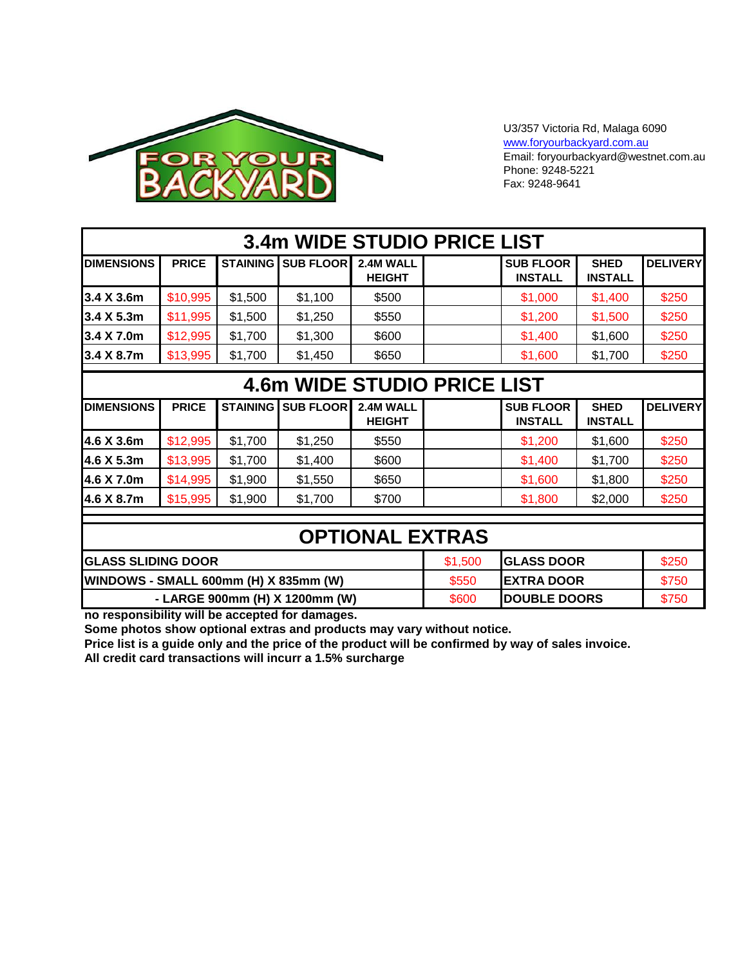

#### U3/357 Victoria Rd, Malaga 6090 [www.foryourbackyard.com.au](http://www.foryourbackyard.com.au/) Email: foryourbackyard@westnet.com.au Phone: 9248-5221 Fax: 9248-9641

| <b>3.4m WIDE STUDIO PRICE LIST</b>                                  |              |                 |                                |                            |                     |                                    |                               |                 |  |
|---------------------------------------------------------------------|--------------|-----------------|--------------------------------|----------------------------|---------------------|------------------------------------|-------------------------------|-----------------|--|
| <b>DIMENSIONS</b>                                                   | <b>PRICE</b> | <b>STAINING</b> | <b>SUB FLOOR</b>               | 2.4M WALL<br><b>HEIGHT</b> |                     | <b>SUB FLOOR</b><br><b>INSTALL</b> | <b>SHED</b><br><b>INSTALL</b> | <b>DELIVERY</b> |  |
| 3.4 X 3.6m                                                          | \$10,995     | \$1,500         | \$1,100                        | \$500                      |                     | \$1,000                            | \$1,400                       | \$250           |  |
| 3.4 X 5.3m                                                          | \$11,995     | \$1,500         | \$1,250                        | \$550                      |                     | \$1,200                            | \$1,500                       | \$250           |  |
| 3.4 X 7.0m                                                          | \$12,995     | \$1,700         | \$1,300                        | \$600                      |                     | \$1,400                            | \$1,600                       | \$250           |  |
| 3.4 X 8.7m                                                          | \$13,995     | \$1,700         | \$1,450                        | \$650                      |                     | \$1,600                            | \$1,700                       | \$250           |  |
| <b>4.6m WIDE STUDIO PRICE LIST</b>                                  |              |                 |                                |                            |                     |                                    |                               |                 |  |
| <b>DIMENSIONS</b>                                                   | <b>PRICE</b> | <b>STAINING</b> | <b>SUB FLOOR</b>               | 2.4M WALL<br><b>HEIGHT</b> |                     | <b>SUB FLOOR</b><br><b>INSTALL</b> | <b>SHED</b><br><b>INSTALL</b> | <b>DELIVERY</b> |  |
| 4.6 X 3.6m                                                          | \$12,995     | \$1,700         | \$1,250                        | \$550                      |                     | \$1,200                            | \$1,600                       | \$250           |  |
| 4.6 X 5.3m                                                          | \$13,995     | \$1,700         | \$1,400                        | \$600                      |                     | \$1,400                            | \$1,700                       | \$250           |  |
| 4.6 X 7.0m                                                          | \$14,995     | \$1,900         | \$1,550                        | \$650                      |                     | \$1,600                            | \$1,800                       | \$250           |  |
| 4.6 X 8.7m                                                          | \$15,995     | \$1,900         | \$1,700                        | \$700                      |                     | \$1,800                            | \$2,000                       | \$250           |  |
|                                                                     |              |                 |                                |                            |                     |                                    |                               |                 |  |
| <b>OPTIONAL EXTRAS</b>                                              |              |                 |                                |                            |                     |                                    |                               |                 |  |
| <b>GLASS DOOR</b><br><b>GLASS SLIDING DOOR</b><br>\$1,500           |              |                 |                                |                            |                     |                                    | \$250                         |                 |  |
| WINDOWS - SMALL 600mm (H) X 835mm (W)<br><b>EXTRA DOOR</b><br>\$550 |              |                 |                                |                            |                     | \$750                              |                               |                 |  |
|                                                                     |              |                 | - LARGE 900mm (H) X 1200mm (W) | \$600                      | <b>DOUBLE DOORS</b> |                                    | \$750                         |                 |  |

**no responsibility will be accepted for damages.**

**Some photos show optional extras and products may vary without notice.**

**Price list is a guide only and the price of the product will be confirmed by way of sales invoice. All credit card transactions will incurr a 1.5% surcharge**